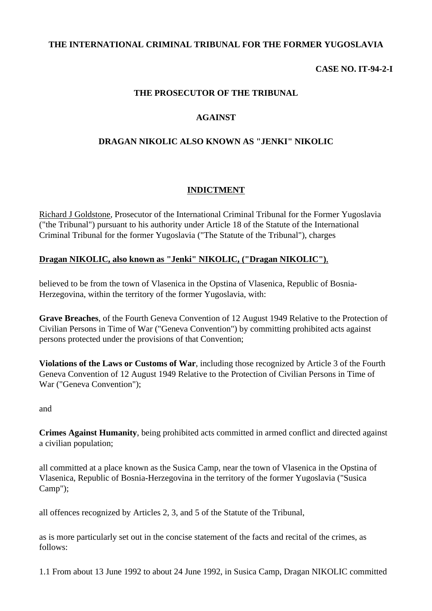# **THE INTERNATIONAL CRIMINAL TRIBUNAL FOR THE FORMER YUGOSLAVIA**

# **CASE NO. IT-94-2-I**

### **THE PROSECUTOR OF THE TRIBUNAL**

### **AGAINST**

### **DRAGAN NIKOLIC ALSO KNOWN AS "JENKI" NIKOLIC**

# **INDICTMENT**

Richard J Goldstone, Prosecutor of the International Criminal Tribunal for the Former Yugoslavia ("the Tribunal") pursuant to his authority under Article 18 of the Statute of the International Criminal Tribunal for the former Yugoslavia ("The Statute of the Tribunal"), charges

#### **Dragan NIKOLIC, also known as "Jenki" NIKOLIC, ("Dragan NIKOLIC")**,

believed to be from the town of Vlasenica in the Opstina of Vlasenica, Republic of Bosnia-Herzegovina, within the territory of the former Yugoslavia, with:

**Grave Breaches**, of the Fourth Geneva Convention of 12 August 1949 Relative to the Protection of Civilian Persons in Time of War ("Geneva Convention") by committing prohibited acts against persons protected under the provisions of that Convention;

**Violations of the Laws or Customs of War**, including those recognized by Article 3 of the Fourth Geneva Convention of 12 August 1949 Relative to the Protection of Civilian Persons in Time of War ("Geneva Convention");

#### and

**Crimes Against Humanity**, being prohibited acts committed in armed conflict and directed against a civilian population;

all committed at a place known as the Susica Camp, near the town of Vlasenica in the Opstina of Vlasenica, Republic of Bosnia-Herzegovina in the territory of the former Yugoslavia ("Susica Camp");

all offences recognized by Articles 2, 3, and 5 of the Statute of the Tribunal,

as is more particularly set out in the concise statement of the facts and recital of the crimes, as follows:

1.1 From about 13 June 1992 to about 24 June 1992, in Susica Camp, Dragan NIKOLIC committed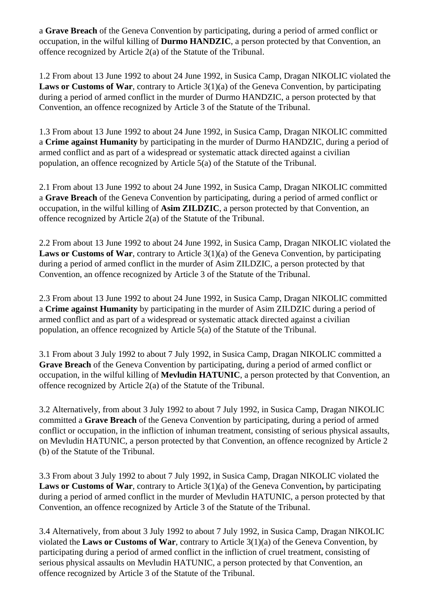a **Grave Breach** of the Geneva Convention by participating, during a period of armed conflict or occupation, in the wilful killing of **Durmo HANDZIC**, a person protected by that Convention, an offence recognized by Article 2(a) of the Statute of the Tribunal.

1.2 From about 13 June 1992 to about 24 June 1992, in Susica Camp, Dragan NIKOLIC violated the **Laws or Customs of War**, contrary to Article 3(1)(a) of the Geneva Convention, by participating during a period of armed conflict in the murder of Durmo HANDZIC, a person protected by that Convention, an offence recognized by Article 3 of the Statute of the Tribunal.

1.3 From about 13 June 1992 to about 24 June 1992, in Susica Camp, Dragan NIKOLIC committed a **Crime against Humanity** by participating in the murder of Durmo HANDZIC, during a period of armed conflict and as part of a widespread or systematic attack directed against a civilian population, an offence recognized by Article 5(a) of the Statute of the Tribunal.

2.1 From about 13 June 1992 to about 24 June 1992, in Susica Camp, Dragan NIKOLIC committed a **Grave Breach** of the Geneva Convention by participating, during a period of armed conflict or occupation, in the wilful killing of **Asim ZILDZIC**, a person protected by that Convention, an offence recognized by Article 2(a) of the Statute of the Tribunal.

2.2 From about 13 June 1992 to about 24 June 1992, in Susica Camp, Dragan NIKOLIC violated the **Laws or Customs of War**, contrary to Article 3(1)(a) of the Geneva Convention, by participating during a period of armed conflict in the murder of Asim ZILDZIC, a person protected by that Convention, an offence recognized by Article 3 of the Statute of the Tribunal.

2.3 From about 13 June 1992 to about 24 June 1992, in Susica Camp, Dragan NIKOLIC committed a **Crime against Humanity** by participating in the murder of Asim ZILDZIC during a period of armed conflict and as part of a widespread or systematic attack directed against a civilian population, an offence recognized by Article 5(a) of the Statute of the Tribunal.

3.1 From about 3 July 1992 to about 7 July 1992, in Susica Camp, Dragan NIKOLIC committed a **Grave Breach** of the Geneva Convention by participating, during a period of armed conflict or occupation, in the wilful killing of **Mevludin HATUNIC**, a person protected by that Convention, an offence recognized by Article 2(a) of the Statute of the Tribunal.

3.2 Alternatively, from about 3 July 1992 to about 7 July 1992, in Susica Camp, Dragan NIKOLIC committed a **Grave Breach** of the Geneva Convention by participating, during a period of armed conflict or occupation, in the infliction of inhuman treatment, consisting of serious physical assaults, on Mevludin HATUNIC, a person protected by that Convention, an offence recognized by Article 2 (b) of the Statute of the Tribunal.

3.3 From about 3 July 1992 to about 7 July 1992, in Susica Camp, Dragan NIKOLIC violated the **Laws or Customs of War**, contrary to Article 3(1)(a) of the Geneva Convention**,** by participating during a period of armed conflict in the murder of Mevludin HATUNIC, a person protected by that Convention, an offence recognized by Article 3 of the Statute of the Tribunal.

3.4 Alternatively, from about 3 July 1992 to about 7 July 1992, in Susica Camp, Dragan NIKOLIC violated the **Laws or Customs of War**, contrary to Article 3(1)(a) of the Geneva Convention, by participating during a period of armed conflict in the infliction of cruel treatment, consisting of serious physical assaults on Mevludin HATUNIC, a person protected by that Convention, an offence recognized by Article 3 of the Statute of the Tribunal.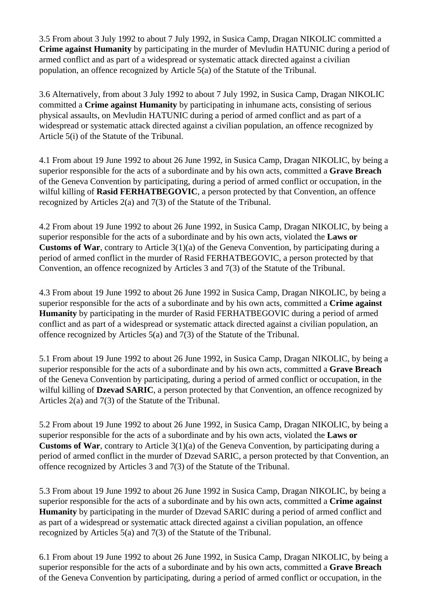3.5 From about 3 July 1992 to about 7 July 1992, in Susica Camp, Dragan NIKOLIC committed a **Crime against Humanity** by participating in the murder of Mevludin HATUNIC during a period of armed conflict and as part of a widespread or systematic attack directed against a civilian population, an offence recognized by Article 5(a) of the Statute of the Tribunal.

3.6 Alternatively, from about 3 July 1992 to about 7 July 1992, in Susica Camp, Dragan NIKOLIC committed a **Crime against Humanity** by participating in inhumane acts, consisting of serious physical assaults, on Mevludin HATUNIC during a period of armed conflict and as part of a widespread or systematic attack directed against a civilian population, an offence recognized by Article 5(i) of the Statute of the Tribunal.

4.1 From about 19 June 1992 to about 26 June 1992, in Susica Camp, Dragan NIKOLIC, by being a superior responsible for the acts of a subordinate and by his own acts, committed a **Grave Breach** of the Geneva Convention by participating, during a period of armed conflict or occupation, in the wilful killing of **Rasid FERHATBEGOVIC**, a person protected by that Convention, an offence recognized by Articles 2(a) and 7(3) of the Statute of the Tribunal.

4.2 From about 19 June 1992 to about 26 June 1992, in Susica Camp, Dragan NIKOLIC, by being a superior responsible for the acts of a subordinate and by his own acts, violated the **Laws or Customs of War**, contrary to Article 3(1)(a) of the Geneva Convention, by participating during a period of armed conflict in the murder of Rasid FERHATBEGOVIC, a person protected by that Convention, an offence recognized by Articles 3 and 7(3) of the Statute of the Tribunal.

4.3 From about 19 June 1992 to about 26 June 1992 in Susica Camp, Dragan NIKOLIC, by being a superior responsible for the acts of a subordinate and by his own acts, committed a **Crime against Humanity** by participating in the murder of Rasid FERHATBEGOVIC during a period of armed conflict and as part of a widespread or systematic attack directed against a civilian population, an offence recognized by Articles 5(a) and 7(3) of the Statute of the Tribunal.

5.1 From about 19 June 1992 to about 26 June 1992, in Susica Camp, Dragan NIKOLIC, by being a superior responsible for the acts of a subordinate and by his own acts, committed a **Grave Breach** of the Geneva Convention by participating, during a period of armed conflict or occupation, in the wilful killing of **Dzevad SARIC**, a person protected by that Convention, an offence recognized by Articles 2(a) and 7(3) of the Statute of the Tribunal.

5.2 From about 19 June 1992 to about 26 June 1992, in Susica Camp, Dragan NIKOLIC, by being a superior responsible for the acts of a subordinate and by his own acts, violated the **Laws or Customs of War**, contrary to Article 3(1)(a) of the Geneva Convention, by participating during a period of armed conflict in the murder of Dzevad SARIC, a person protected by that Convention, an offence recognized by Articles 3 and 7(3) of the Statute of the Tribunal.

5.3 From about 19 June 1992 to about 26 June 1992 in Susica Camp, Dragan NIKOLIC, by being a superior responsible for the acts of a subordinate and by his own acts, committed a **Crime against Humanity** by participating in the murder of Dzevad SARIC during a period of armed conflict and as part of a widespread or systematic attack directed against a civilian population, an offence recognized by Articles 5(a) and 7(3) of the Statute of the Tribunal.

6.1 From about 19 June 1992 to about 26 June 1992, in Susica Camp, Dragan NIKOLIC, by being a superior responsible for the acts of a subordinate and by his own acts, committed a **Grave Breach** of the Geneva Convention by participating, during a period of armed conflict or occupation, in the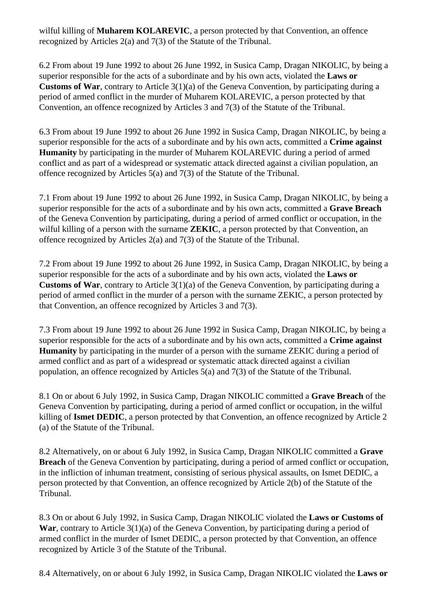wilful killing of **Muharem KOLAREVIC**, a person protected by that Convention, an offence recognized by Articles 2(a) and 7(3) of the Statute of the Tribunal.

6.2 From about 19 June 1992 to about 26 June 1992, in Susica Camp, Dragan NIKOLIC, by being a superior responsible for the acts of a subordinate and by his own acts, violated the **Laws or Customs of War**, contrary to Article 3(1)(a) of the Geneva Convention, by participating during a period of armed conflict in the murder of Muharem KOLAREVIC, a person protected by that Convention, an offence recognized by Articles 3 and 7(3) of the Statute of the Tribunal.

6.3 From about 19 June 1992 to about 26 June 1992 in Susica Camp, Dragan NIKOLIC, by being a superior responsible for the acts of a subordinate and by his own acts, committed a **Crime against Humanity** by participating in the murder of Muharem KOLAREVIC during a period of armed conflict and as part of a widespread or systematic attack directed against a civilian population, an offence recognized by Articles 5(a) and 7(3) of the Statute of the Tribunal.

7.1 From about 19 June 1992 to about 26 June 1992, in Susica Camp, Dragan NIKOLIC, by being a superior responsible for the acts of a subordinate and by his own acts, committed a **Grave Breach** of the Geneva Convention by participating, during a period of armed conflict or occupation, in the wilful killing of a person with the surname **ZEKIC**, a person protected by that Convention, an offence recognized by Articles 2(a) and 7(3) of the Statute of the Tribunal.

7.2 From about 19 June 1992 to about 26 June 1992, in Susica Camp, Dragan NIKOLIC, by being a superior responsible for the acts of a subordinate and by his own acts, violated the **Laws or Customs of War**, contrary to Article 3(1)(a) of the Geneva Convention, by participating during a period of armed conflict in the murder of a person with the surname ZEKIC, a person protected by that Convention, an offence recognized by Articles 3 and 7(3).

7.3 From about 19 June 1992 to about 26 June 1992 in Susica Camp, Dragan NIKOLIC, by being a superior responsible for the acts of a subordinate and by his own acts, committed a **Crime against Humanity** by participating in the murder of a person with the surname ZEKIC during a period of armed conflict and as part of a widespread or systematic attack directed against a civilian population, an offence recognized by Articles 5(a) and 7(3) of the Statute of the Tribunal.

8.1 On or about 6 July 1992, in Susica Camp, Dragan NIKOLIC committed a **Grave Breach** of the Geneva Convention by participating, during a period of armed conflict or occupation, in the wilful killing of **Ismet DEDIC**, a person protected by that Convention, an offence recognized by Article 2 (a) of the Statute of the Tribunal.

8.2 Alternatively, on or about 6 July 1992, in Susica Camp, Dragan NIKOLIC committed a **Grave Breach** of the Geneva Convention by participating, during a period of armed conflict or occupation, in the infliction of inhuman treatment, consisting of serious physical assaults, on Ismet DEDIC, a person protected by that Convention, an offence recognized by Article 2(b) of the Statute of the Tribunal.

8.3 On or about 6 July 1992, in Susica Camp, Dragan NIKOLIC violated the **Laws or Customs of**  War, contrary to Article 3(1)(a) of the Geneva Convention, by participating during a period of armed conflict in the murder of Ismet DEDIC, a person protected by that Convention, an offence recognized by Article 3 of the Statute of the Tribunal.

8.4 Alternatively, on or about 6 July 1992, in Susica Camp, Dragan NIKOLIC violated the **Laws or**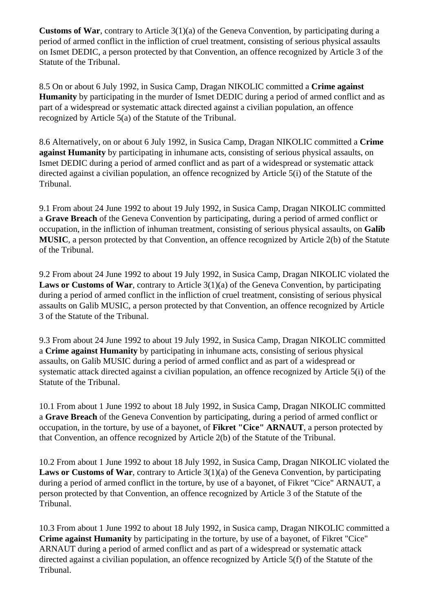**Customs of War**, contrary to Article 3(1)(a) of the Geneva Convention, by participating during a period of armed conflict in the infliction of cruel treatment, consisting of serious physical assaults on Ismet DEDIC, a person protected by that Convention, an offence recognized by Article 3 of the Statute of the Tribunal.

8.5 On or about 6 July 1992, in Susica Camp, Dragan NIKOLIC committed a **Crime against Humanity** by participating in the murder of Ismet DEDIC during a period of armed conflict and as part of a widespread or systematic attack directed against a civilian population, an offence recognized by Article 5(a) of the Statute of the Tribunal.

8.6 Alternatively, on or about 6 July 1992, in Susica Camp, Dragan NIKOLIC committed a **Crime against Humanity** by participating in inhumane acts, consisting of serious physical assaults, on Ismet DEDIC during a period of armed conflict and as part of a widespread or systematic attack directed against a civilian population, an offence recognized by Article 5(i) of the Statute of the Tribunal.

9.1 From about 24 June 1992 to about 19 July 1992, in Susica Camp, Dragan NIKOLIC committed a **Grave Breach** of the Geneva Convention by participating, during a period of armed conflict or occupation, in the infliction of inhuman treatment, consisting of serious physical assaults, on **Galib MUSIC**, a person protected by that Convention, an offence recognized by Article 2(b) of the Statute of the Tribunal.

9.2 From about 24 June 1992 to about 19 July 1992, in Susica Camp, Dragan NIKOLIC violated the **Laws or Customs of War**, contrary to Article 3(1)(a) of the Geneva Convention, by participating during a period of armed conflict in the infliction of cruel treatment, consisting of serious physical assaults on Galib MUSIC, a person protected by that Convention, an offence recognized by Article 3 of the Statute of the Tribunal.

9.3 From about 24 June 1992 to about 19 July 1992, in Susica Camp, Dragan NIKOLIC committed a **Crime against Humanity** by participating in inhumane acts, consisting of serious physical assaults, on Galib MUSIC during a period of armed conflict and as part of a widespread or systematic attack directed against a civilian population, an offence recognized by Article 5(i) of the Statute of the Tribunal.

10.1 From about 1 June 1992 to about 18 July 1992, in Susica Camp, Dragan NIKOLIC committed a **Grave Breach** of the Geneva Convention by participating, during a period of armed conflict or occupation, in the torture, by use of a bayonet, of **Fikret "Cice" ARNAUT**, a person protected by that Convention, an offence recognized by Article 2(b) of the Statute of the Tribunal.

10.2 From about 1 June 1992 to about 18 July 1992, in Susica Camp, Dragan NIKOLIC violated the **Laws or Customs of War**, contrary to Article 3(1)(a) of the Geneva Convention, by participating during a period of armed conflict in the torture, by use of a bayonet, of Fikret "Cice" ARNAUT, a person protected by that Convention, an offence recognized by Article 3 of the Statute of the Tribunal.

10.3 From about 1 June 1992 to about 18 July 1992, in Susica camp, Dragan NIKOLIC committed a **Crime against Humanity** by participating in the torture, by use of a bayonet, of Fikret "Cice" ARNAUT during a period of armed conflict and as part of a widespread or systematic attack directed against a civilian population, an offence recognized by Article 5(f) of the Statute of the Tribunal.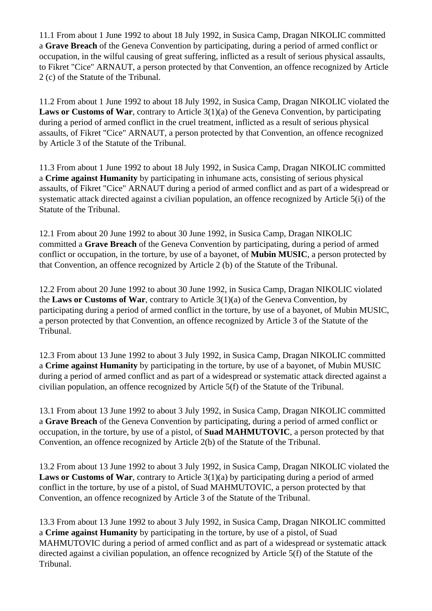11.1 From about 1 June 1992 to about 18 July 1992, in Susica Camp, Dragan NIKOLIC committed a **Grave Breach** of the Geneva Convention by participating, during a period of armed conflict or occupation, in the wilful causing of great suffering, inflicted as a result of serious physical assaults, to Fikret "Cice" ARNAUT, a person protected by that Convention, an offence recognized by Article 2 (c) of the Statute of the Tribunal.

11.2 From about 1 June 1992 to about 18 July 1992, in Susica Camp, Dragan NIKOLIC violated the Laws or Customs of War, contrary to Article 3(1)(a) of the Geneva Convention, by participating during a period of armed conflict in the cruel treatment, inflicted as a result of serious physical assaults, of Fikret "Cice" ARNAUT, a person protected by that Convention, an offence recognized by Article 3 of the Statute of the Tribunal.

11.3 From about 1 June 1992 to about 18 July 1992, in Susica Camp, Dragan NIKOLIC committed a **Crime against Humanity** by participating in inhumane acts, consisting of serious physical assaults, of Fikret "Cice" ARNAUT during a period of armed conflict and as part of a widespread or systematic attack directed against a civilian population, an offence recognized by Article 5(i) of the Statute of the Tribunal.

12.1 From about 20 June 1992 to about 30 June 1992, in Susica Camp, Dragan NIKOLIC committed a **Grave Breach** of the Geneva Convention by participating, during a period of armed conflict or occupation, in the torture, by use of a bayonet, of **Mubin MUSIC**, a person protected by that Convention, an offence recognized by Article 2 (b) of the Statute of the Tribunal.

12.2 From about 20 June 1992 to about 30 June 1992, in Susica Camp, Dragan NIKOLIC violated the **Laws or Customs of War**, contrary to Article 3(1)(a) of the Geneva Convention, by participating during a period of armed conflict in the torture, by use of a bayonet, of Mubin MUSIC, a person protected by that Convention, an offence recognized by Article 3 of the Statute of the Tribunal.

12.3 From about 13 June 1992 to about 3 July 1992, in Susica Camp, Dragan NIKOLIC committed a **Crime against Humanity** by participating in the torture, by use of a bayonet, of Mubin MUSIC during a period of armed conflict and as part of a widespread or systematic attack directed against a civilian population, an offence recognized by Article 5(f) of the Statute of the Tribunal.

13.1 From about 13 June 1992 to about 3 July 1992, in Susica Camp, Dragan NIKOLIC committed a **Grave Breach** of the Geneva Convention by participating, during a period of armed conflict or occupation, in the torture, by use of a pistol, of **Suad MAHMUTOVIC**, a person protected by that Convention, an offence recognized by Article 2(b) of the Statute of the Tribunal.

13.2 From about 13 June 1992 to about 3 July 1992, in Susica Camp, Dragan NIKOLIC violated the **Laws or Customs of War**, contrary to Article 3(1)(a) by participating during a period of armed conflict in the torture, by use of a pistol, of Suad MAHMUTOVIC, a person protected by that Convention, an offence recognized by Article 3 of the Statute of the Tribunal.

13.3 From about 13 June 1992 to about 3 July 1992, in Susica Camp, Dragan NIKOLIC committed a **Crime against Humanity** by participating in the torture, by use of a pistol, of Suad MAHMUTOVIC during a period of armed conflict and as part of a widespread or systematic attack directed against a civilian population, an offence recognized by Article 5(f) of the Statute of the Tribunal.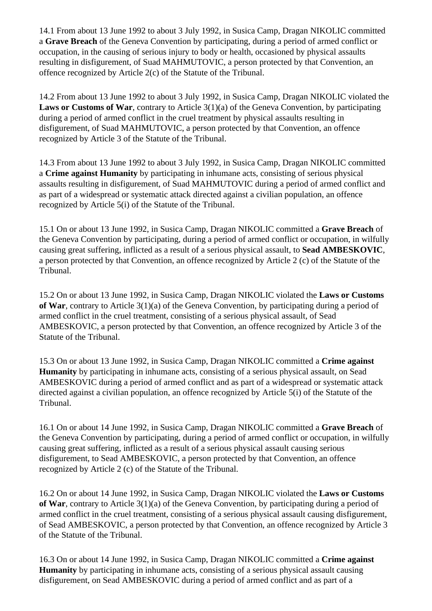14.1 From about 13 June 1992 to about 3 July 1992, in Susica Camp, Dragan NIKOLIC committed a **Grave Breach** of the Geneva Convention by participating, during a period of armed conflict or occupation, in the causing of serious injury to body or health, occasioned by physical assaults resulting in disfigurement, of Suad MAHMUTOVIC, a person protected by that Convention, an offence recognized by Article 2(c) of the Statute of the Tribunal.

14.2 From about 13 June 1992 to about 3 July 1992, in Susica Camp, Dragan NIKOLIC violated the **Laws or Customs of War**, contrary to Article 3(1)(a) of the Geneva Convention, by participating during a period of armed conflict in the cruel treatment by physical assaults resulting in disfigurement, of Suad MAHMUTOVIC, a person protected by that Convention, an offence recognized by Article 3 of the Statute of the Tribunal.

14.3 From about 13 June 1992 to about 3 July 1992, in Susica Camp, Dragan NIKOLIC committed a **Crime against Humanity** by participating in inhumane acts, consisting of serious physical assaults resulting in disfigurement, of Suad MAHMUTOVIC during a period of armed conflict and as part of a widespread or systematic attack directed against a civilian population, an offence recognized by Article 5(i) of the Statute of the Tribunal.

15.1 On or about 13 June 1992, in Susica Camp, Dragan NIKOLIC committed a **Grave Breach** of the Geneva Convention by participating, during a period of armed conflict or occupation, in wilfully causing great suffering, inflicted as a result of a serious physical assault, to **Sead AMBESKOVIC**, a person protected by that Convention, an offence recognized by Article 2 (c) of the Statute of the Tribunal.

15.2 On or about 13 June 1992, in Susica Camp, Dragan NIKOLIC violated the **Laws or Customs of War**, contrary to Article 3(1)(a) of the Geneva Convention, by participating during a period of armed conflict in the cruel treatment, consisting of a serious physical assault, of Sead AMBESKOVIC, a person protected by that Convention, an offence recognized by Article 3 of the Statute of the Tribunal.

15.3 On or about 13 June 1992, in Susica Camp, Dragan NIKOLIC committed a **Crime against Humanity** by participating in inhumane acts, consisting of a serious physical assault, on Sead AMBESKOVIC during a period of armed conflict and as part of a widespread or systematic attack directed against a civilian population, an offence recognized by Article 5(i) of the Statute of the Tribunal.

16.1 On or about 14 June 1992, in Susica Camp, Dragan NIKOLIC committed a **Grave Breach** of the Geneva Convention by participating, during a period of armed conflict or occupation, in wilfully causing great suffering, inflicted as a result of a serious physical assault causing serious disfigurement, to Sead AMBESKOVIC, a person protected by that Convention, an offence recognized by Article 2 (c) of the Statute of the Tribunal.

16.2 On or about 14 June 1992, in Susica Camp, Dragan NIKOLIC violated the **Laws or Customs of War**, contrary to Article 3(1)(a) of the Geneva Convention, by participating during a period of armed conflict in the cruel treatment, consisting of a serious physical assault causing disfigurement, of Sead AMBESKOVIC, a person protected by that Convention, an offence recognized by Article 3 of the Statute of the Tribunal.

16.3 On or about 14 June 1992, in Susica Camp, Dragan NIKOLIC committed a **Crime against Humanity** by participating in inhumane acts, consisting of a serious physical assault causing disfigurement, on Sead AMBESKOVIC during a period of armed conflict and as part of a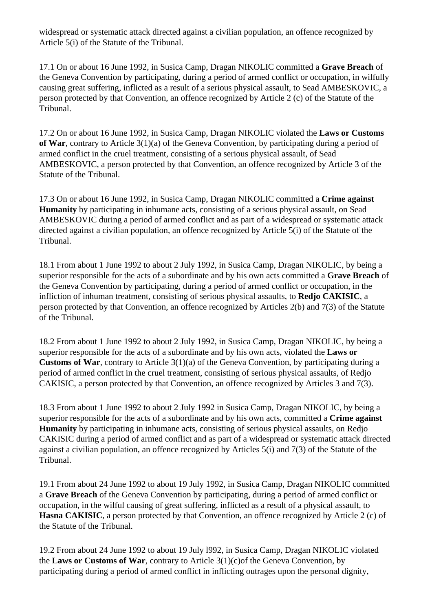widespread or systematic attack directed against a civilian population, an offence recognized by Article 5(i) of the Statute of the Tribunal.

17.1 On or about 16 June 1992, in Susica Camp, Dragan NIKOLIC committed a **Grave Breach** of the Geneva Convention by participating, during a period of armed conflict or occupation, in wilfully causing great suffering, inflicted as a result of a serious physical assault, to Sead AMBESKOVIC, a person protected by that Convention, an offence recognized by Article 2 (c) of the Statute of the Tribunal.

17.2 On or about 16 June 1992, in Susica Camp, Dragan NIKOLIC violated the **Laws or Customs of War**, contrary to Article 3(1)(a) of the Geneva Convention, by participating during a period of armed conflict in the cruel treatment, consisting of a serious physical assault, of Sead AMBESKOVIC, a person protected by that Convention, an offence recognized by Article 3 of the Statute of the Tribunal.

17.3 On or about 16 June 1992, in Susica Camp, Dragan NIKOLIC committed a **Crime against Humanity** by participating in inhumane acts, consisting of a serious physical assault, on Sead AMBESKOVIC during a period of armed conflict and as part of a widespread or systematic attack directed against a civilian population, an offence recognized by Article 5(i) of the Statute of the Tribunal.

18.1 From about 1 June 1992 to about 2 July 1992, in Susica Camp, Dragan NIKOLIC, by being a superior responsible for the acts of a subordinate and by his own acts committed a **Grave Breach** of the Geneva Convention by participating, during a period of armed conflict or occupation, in the infliction of inhuman treatment, consisting of serious physical assaults, to **Redjo CAKISIC**, a person protected by that Convention, an offence recognized by Articles 2(b) and 7(3) of the Statute of the Tribunal.

18.2 From about 1 June 1992 to about 2 July 1992, in Susica Camp, Dragan NIKOLIC, by being a superior responsible for the acts of a subordinate and by his own acts, violated the **Laws or Customs of War**, contrary to Article 3(1)(a) of the Geneva Convention, by participating during a period of armed conflict in the cruel treatment, consisting of serious physical assaults, of Redjo CAKISIC, a person protected by that Convention, an offence recognized by Articles 3 and 7(3).

18.3 From about 1 June 1992 to about 2 July 1992 in Susica Camp, Dragan NIKOLIC, by being a superior responsible for the acts of a subordinate and by his own acts, committed a **Crime against Humanity** by participating in inhumane acts, consisting of serious physical assaults, on Redjo CAKISIC during a period of armed conflict and as part of a widespread or systematic attack directed against a civilian population, an offence recognized by Articles 5(i) and 7(3) of the Statute of the Tribunal.

19.1 From about 24 June 1992 to about 19 July 1992, in Susica Camp, Dragan NIKOLIC committed a **Grave Breach** of the Geneva Convention by participating, during a period of armed conflict or occupation, in the wilful causing of great suffering, inflicted as a result of a physical assault, to **Hasna CAKISIC**, a person protected by that Convention, an offence recognized by Article 2 (c) of the Statute of the Tribunal.

19.2 From about 24 June 1992 to about 19 July l992, in Susica Camp, Dragan NIKOLIC violated the **Laws or Customs of War**, contrary to Article 3(1)(c)of the Geneva Convention, by participating during a period of armed conflict in inflicting outrages upon the personal dignity,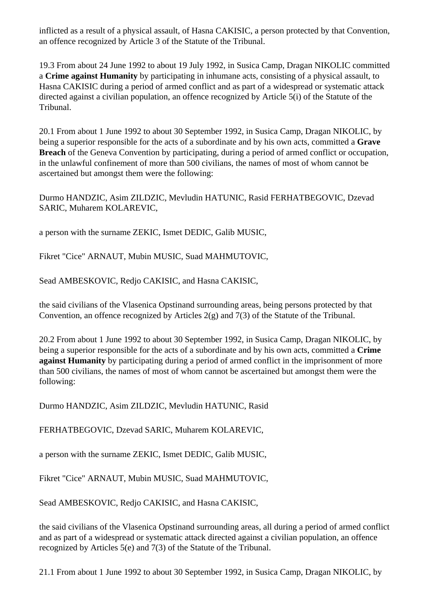inflicted as a result of a physical assault, of Hasna CAKISIC, a person protected by that Convention, an offence recognized by Article 3 of the Statute of the Tribunal.

19.3 From about 24 June 1992 to about 19 July 1992, in Susica Camp, Dragan NIKOLIC committed a **Crime against Humanity** by participating in inhumane acts, consisting of a physical assault, to Hasna CAKISIC during a period of armed conflict and as part of a widespread or systematic attack directed against a civilian population, an offence recognized by Article 5(i) of the Statute of the Tribunal.

20.1 From about 1 June 1992 to about 30 September 1992, in Susica Camp, Dragan NIKOLIC, by being a superior responsible for the acts of a subordinate and by his own acts, committed a **Grave Breach** of the Geneva Convention by participating, during a period of armed conflict or occupation, in the unlawful confinement of more than 500 civilians, the names of most of whom cannot be ascertained but amongst them were the following:

Durmo HANDZIC, Asim ZILDZIC, Mevludin HATUNIC, Rasid FERHATBEGOVIC, Dzevad SARIC, Muharem KOLAREVIC,

a person with the surname ZEKIC, Ismet DEDIC, Galib MUSIC,

Fikret "Cice" ARNAUT, Mubin MUSIC, Suad MAHMUTOVIC,

Sead AMBESKOVIC, Redjo CAKISIC, and Hasna CAKISIC,

the said civilians of the Vlasenica Opstinand surrounding areas, being persons protected by that Convention, an offence recognized by Articles 2(g) and 7(3) of the Statute of the Tribunal.

20.2 From about 1 June 1992 to about 30 September 1992, in Susica Camp, Dragan NIKOLIC, by being a superior responsible for the acts of a subordinate and by his own acts, committed a **Crime against Humanity** by participating during a period of armed conflict in the imprisonment of more than 500 civilians, the names of most of whom cannot be ascertained but amongst them were the following:

Durmo HANDZIC, Asim ZILDZIC, Mevludin HATUNIC, Rasid

FERHATBEGOVIC, Dzevad SARIC, Muharem KOLAREVIC,

a person with the surname ZEKIC, Ismet DEDIC, Galib MUSIC,

Fikret "Cice" ARNAUT, Mubin MUSIC, Suad MAHMUTOVIC,

Sead AMBESKOVIC, Redjo CAKISIC, and Hasna CAKISIC,

the said civilians of the Vlasenica Opstinand surrounding areas, all during a period of armed conflict and as part of a widespread or systematic attack directed against a civilian population, an offence recognized by Articles 5(e) and 7(3) of the Statute of the Tribunal.

21.1 From about 1 June 1992 to about 30 September 1992, in Susica Camp, Dragan NIKOLIC, by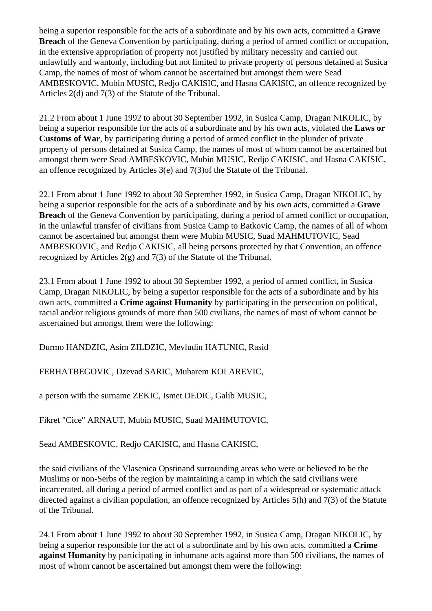being a superior responsible for the acts of a subordinate and by his own acts, committed a **Grave Breach** of the Geneva Convention by participating, during a period of armed conflict or occupation, in the extensive appropriation of property not justified by military necessity and carried out unlawfully and wantonly, including but not limited to private property of persons detained at Susica Camp, the names of most of whom cannot be ascertained but amongst them were Sead AMBESKOVIC, Mubin MUSIC, Redjo CAKISIC, and Hasna CAKISIC, an offence recognized by Articles 2(d) and 7(3) of the Statute of the Tribunal.

21.2 From about 1 June 1992 to about 30 September 1992, in Susica Camp, Dragan NIKOLIC, by being a superior responsible for the acts of a subordinate and by his own acts, violated the **Laws or Customs of War**, by participating during a period of armed conflict in the plunder of private property of persons detained at Susica Camp, the names of most of whom cannot be ascertained but amongst them were Sead AMBESKOVIC, Mubin MUSIC, Redjo CAKISIC, and Hasna CAKISIC, an offence recognized by Articles 3(e) and 7(3)of the Statute of the Tribunal.

22.1 From about 1 June 1992 to about 30 September 1992, in Susica Camp, Dragan NIKOLIC, by being a superior responsible for the acts of a subordinate and by his own acts, committed a **Grave Breach** of the Geneva Convention by participating, during a period of armed conflict or occupation, in the unlawful transfer of civilians from Susica Camp to Batkovic Camp, the names of all of whom cannot be ascertained but amongst them were Mubin MUSIC, Suad MAHMUTOVIC, Sead AMBESKOVIC, and Redjo CAKISIC, all being persons protected by that Convention, an offence recognized by Articles 2(g) and 7(3) of the Statute of the Tribunal.

23.1 From about 1 June 1992 to about 30 September 1992, a period of armed conflict, in Susica Camp, Dragan NIKOLIC, by being a superior responsible for the acts of a subordinate and by his own acts, committed a **Crime against Humanity** by participating in the persecution on political, racial and/or religious grounds of more than 500 civilians, the names of most of whom cannot be ascertained but amongst them were the following:

Durmo HANDZIC, Asim ZILDZIC, Mevludin HATUNIC, Rasid

FERHATBEGOVIC, Dzevad SARIC, Muharem KOLAREVIC,

a person with the surname ZEKIC, Ismet DEDIC, Galib MUSIC,

Fikret "Cice" ARNAUT, Mubin MUSIC, Suad MAHMUTOVIC,

Sead AMBESKOVIC, Redjo CAKISIC, and Hasna CAKISIC,

the said civilians of the Vlasenica Opstinand surrounding areas who were or believed to be the Muslims or non-Serbs of the region by maintaining a camp in which the said civilians were incarcerated, all during a period of armed conflict and as part of a widespread or systematic attack directed against a civilian population, an offence recognized by Articles 5(h) and 7(3) of the Statute of the Tribunal.

24.1 From about 1 June 1992 to about 30 September 1992, in Susica Camp, Dragan NIKOLIC, by being a superior responsible for the act of a subordinate and by his own acts, committed a **Crime against Humanity** by participating in inhumane acts against more than 500 civilians, the names of most of whom cannot be ascertained but amongst them were the following: